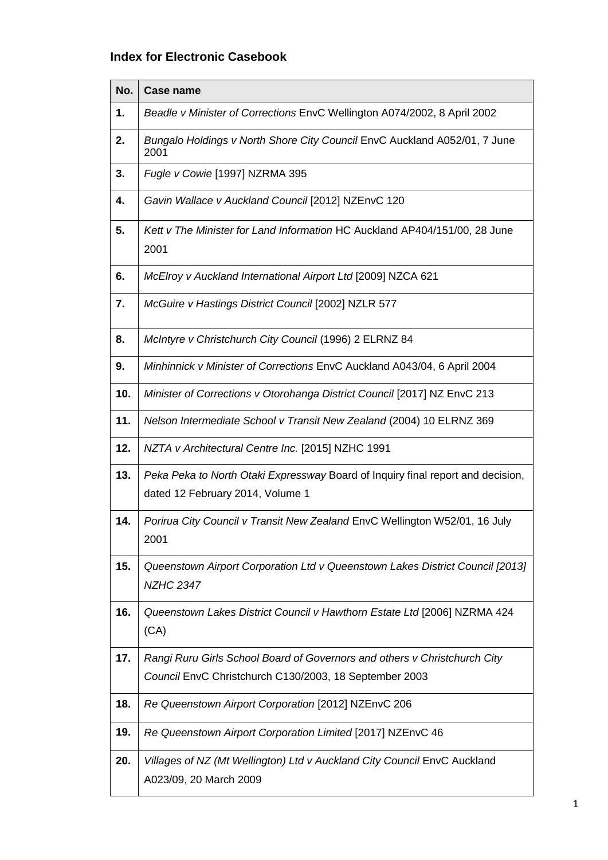## **Index for Electronic Casebook**

| No. | <b>Case name</b>                                                                                                                    |
|-----|-------------------------------------------------------------------------------------------------------------------------------------|
| 1.  | Beadle v Minister of Corrections EnvC Wellington A074/2002, 8 April 2002                                                            |
| 2.  | Bungalo Holdings v North Shore City Council EnvC Auckland A052/01, 7 June<br>2001                                                   |
| 3.  | Fugle v Cowie [1997] NZRMA 395                                                                                                      |
| 4.  | Gavin Wallace v Auckland Council [2012] NZEnvC 120                                                                                  |
| 5.  | Kett v The Minister for Land Information HC Auckland AP404/151/00, 28 June<br>2001                                                  |
| 6.  | McElroy v Auckland International Airport Ltd [2009] NZCA 621                                                                        |
| 7.  | McGuire v Hastings District Council [2002] NZLR 577                                                                                 |
| 8.  | McIntyre v Christchurch City Council (1996) 2 ELRNZ 84                                                                              |
| 9.  | Minhinnick v Minister of Corrections EnvC Auckland A043/04, 6 April 2004                                                            |
| 10. | Minister of Corrections v Otorohanga District Council [2017] NZ EnvC 213                                                            |
| 11. | Nelson Intermediate School v Transit New Zealand (2004) 10 ELRNZ 369                                                                |
| 12. | NZTA v Architectural Centre Inc. [2015] NZHC 1991                                                                                   |
| 13. | Peka Peka to North Otaki Expressway Board of Inquiry final report and decision,<br>dated 12 February 2014, Volume 1                 |
| 14. | Porirua City Council v Transit New Zealand EnvC Wellington W52/01, 16 July<br>2001                                                  |
| 15. | Queenstown Airport Corporation Ltd v Queenstown Lakes District Council [2013]<br><b>NZHC 2347</b>                                   |
| 16. | Queenstown Lakes District Council v Hawthorn Estate Ltd [2006] NZRMA 424<br>(CA)                                                    |
| 17. | Rangi Ruru Girls School Board of Governors and others v Christchurch City<br>Council EnvC Christchurch C130/2003, 18 September 2003 |
| 18. | Re Queenstown Airport Corporation [2012] NZEnvC 206                                                                                 |
| 19. | Re Queenstown Airport Corporation Limited [2017] NZEnvC 46                                                                          |
| 20. | Villages of NZ (Mt Wellington) Ltd v Auckland City Council EnvC Auckland<br>A023/09, 20 March 2009                                  |